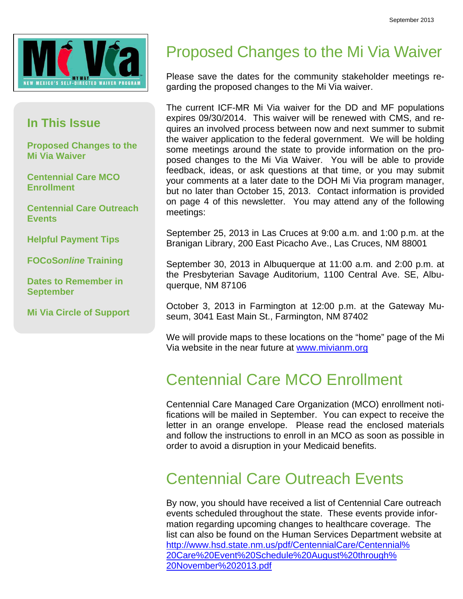

#### **In This Issue**

**Proposed Changes to the Mi Via Waiver** 

**Centennial Care MCO Enrollment** 

**Centennial Care Outreach Events** 

**Helpful Payment Tips** 

**FOCoS***online* **Training** 

**Dates to Remember in September** 

**Mi Via Circle of Support** 

#### Proposed Changes to the Mi Via Waiver

Please save the dates for the community stakeholder meetings regarding the proposed changes to the Mi Via waiver.

The current ICF-MR Mi Via waiver for the DD and MF populations expires 09/30/2014. This waiver will be renewed with CMS, and requires an involved process between now and next summer to submit the waiver application to the federal government. We will be holding some meetings around the state to provide information on the proposed changes to the Mi Via Waiver. You will be able to provide feedback, ideas, or ask questions at that time, or you may submit your comments at a later date to the DOH Mi Via program manager, but no later than October 15, 2013. Contact information is provided on page 4 of this newsletter. You may attend any of the following meetings:

September 25, 2013 in Las Cruces at 9:00 a.m. and 1:00 p.m. at the Branigan Library, 200 East Picacho Ave., Las Cruces, NM 88001

September 30, 2013 in Albuquerque at 11:00 a.m. and 2:00 p.m. at the Presbyterian Savage Auditorium, 1100 Central Ave. SE, Albuquerque, NM 87106

October 3, 2013 in Farmington at 12:00 p.m. at the Gateway Museum, 3041 East Main St., Farmington, NM 87402

We will provide maps to these locations on the "home" page of the Mi Via website in the near future at www.mivianm.org

#### Centennial Care MCO Enrollment

Centennial Care Managed Care Organization (MCO) enrollment notifications will be mailed in September. You can expect to receive the letter in an orange envelope. Please read the enclosed materials and follow the instructions to enroll in an MCO as soon as possible in order to avoid a disruption in your Medicaid benefits.

#### Centennial Care Outreach Events

By now, you should have received a list of Centennial Care outreach events scheduled throughout the state. These events provide information regarding upcoming changes to healthcare coverage. The list can also be found on the Human Services Department website at http://www.hsd.state.nm.us/pdf/CentennialCare/Centennial% 20Care%20Event%20Schedule%20August%20through% 20November%202013.pdf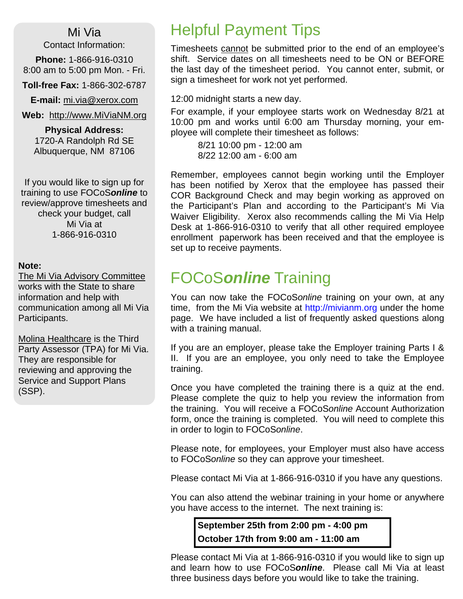Mi Via

Contact Information:

**Phone:** 1-866-916-0310 8:00 am to 5:00 pm Mon. - Fri.

**Toll-free Fax:** 1-866-302-6787

**E-mail:** mi.via@xerox.com

**Web:** http://www.MiViaNM.org

**Physical Address:** 1720-A Randolph Rd SE Albuquerque, NM 87106

If you would like to sign up for training to use FOCoS*online* to review/approve timesheets and check your budget, call Mi Via at 1-866-916-0310

#### **Note:**

The Mi Via Advisory Committee works with the State to share information and help with communication among all Mi Via Participants.

Molina Healthcare is the Third Party Assessor (TPA) for Mi Via. They are responsible for reviewing and approving the Service and Support Plans (SSP).

### Helpful Payment Tips

Timesheets cannot be submitted prior to the end of an employee's shift. Service dates on all timesheets need to be ON or BEFORE the last day of the timesheet period. You cannot enter, submit, or sign a timesheet for work not yet performed.

12:00 midnight starts a new day.

For example, if your employee starts work on Wednesday 8/21 at 10:00 pm and works until 6:00 am Thursday morning, your employee will complete their timesheet as follows:

 8/21 10:00 pm - 12:00 am 8/22 12:00 am - 6:00 am

Remember, employees cannot begin working until the Employer has been notified by Xerox that the employee has passed their COR Background Check and may begin working as approved on the Participant's Plan and according to the Participant's Mi Via Waiver Eligibility. Xerox also recommends calling the Mi Via Help Desk at 1-866-916-0310 to verify that all other required employee enrollment paperwork has been received and that the employee is set up to receive payments.

### FOCoS*online* Training

You can now take the FOCoS*online* training on your own, at any time, from the Mi Via website at http://mivianm.org under the home page. We have included a list of frequently asked questions along with a training manual.

If you are an employer, please take the Employer training Parts I & II. If you are an employee, you only need to take the Employee training.

Once you have completed the training there is a quiz at the end. Please complete the quiz to help you review the information from the training. You will receive a FOCoS*online* Account Authorization form, once the training is completed. You will need to complete this in order to login to FOCoS*online*.

Please note, for employees, your Employer must also have access to FOCoS*online* so they can approve your timesheet.

Please contact Mi Via at 1-866-916-0310 if you have any questions.

You can also attend the webinar training in your home or anywhere you have access to the internet. The next training is:

**September 25th from 2:00 pm - 4:00 pm October 17th from 9:00 am - 11:00 am** 

Please contact Mi Via at 1-866-916-0310 if you would like to sign up and learn how to use FOCoS*online*. Please call Mi Via at least three business days before you would like to take the training.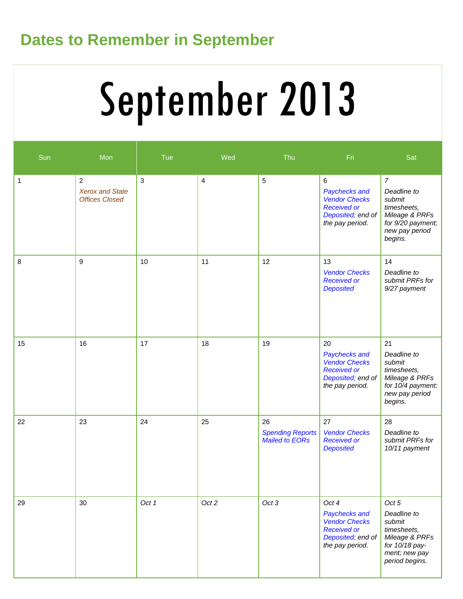### **Dates to Remember in September**

# September 2013

| Sun | Mon                                                               | Tue          | Wed                     | Thu                                             | Fri.                                                                                                           | Sat                                                                                                                        |
|-----|-------------------------------------------------------------------|--------------|-------------------------|-------------------------------------------------|----------------------------------------------------------------------------------------------------------------|----------------------------------------------------------------------------------------------------------------------------|
| 1   | $\overline{2}$<br><b>Xerox and State</b><br><b>Offices Closed</b> | $\mathbf{3}$ | $\overline{\mathbf{4}}$ | 5                                               | $\,6\,$<br>Paychecks and<br><b>Vendor Checks</b><br><b>Received or</b><br>Deposited; end of<br>the pay period. | $\overline{7}$<br>Deadline to<br>submit<br>timesheets,<br>Mileage & PRFs<br>for 9/20 payment;<br>new pay period<br>begins. |
| 8   | 9                                                                 | 10           | 11                      | 12                                              | 13<br><b>Vendor Checks</b><br><b>Received or</b><br><b>Deposited</b>                                           | 14<br>Deadline to<br>submit PRFs for<br>9/27 payment                                                                       |
| 15  | 16                                                                | 17           | 18                      | 19                                              | 20<br>Paychecks and<br><b>Vendor Checks</b><br><b>Received or</b><br>Deposited; end of<br>the pay period.      | 21<br>Deadline to<br>submit<br>timesheets,<br>Mileage & PRFs<br>for 10/4 payment;<br>new pay period<br>begins.             |
| 22  | 23                                                                | 24           | 25                      | 26<br><b>Spending Reports</b><br>Mailed to EORs | 27<br><b>Vendor Checks</b><br><b>Received or</b><br><b>Deposited</b>                                           | 28<br>Deadline to<br>submit PRFs for<br>10/11 payment                                                                      |
| 29  | 30                                                                | Oct 1        | Oct 2                   | Oct 3                                           | Oct 4<br>Paychecks and<br><b>Vendor Checks</b><br><b>Received or</b><br>Deposited; end of<br>the pay period.   | Oct 5<br>Deadline to<br>submit<br>timesheets,<br>Mileage & PRFs<br>for 10/18 pay-<br>ment; new pay<br>period begins.       |